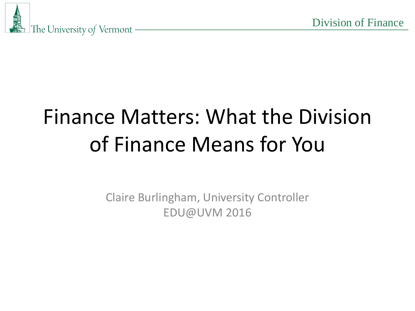

## Finance Matters: What the Division of Finance Means for You

Claire Burlingham, University Controller EDU@UVM 2016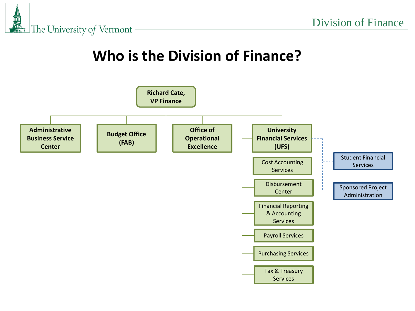### **Who is the Division of Finance?**

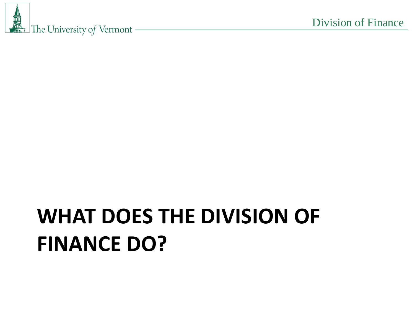## **WHAT DOES THE DIVISION OF FINANCE DO?**

圙 The University of Vermont -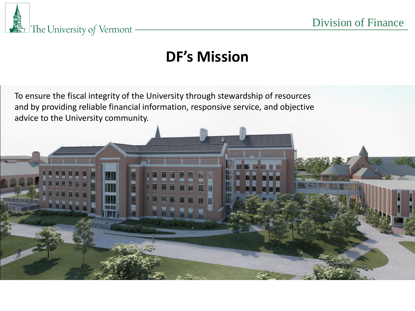

### **DF's Mission**

To ensure the fiscal integrity of the University through stewardship of resources and by providing reliable financial information, responsive service, and objective advice to the University community.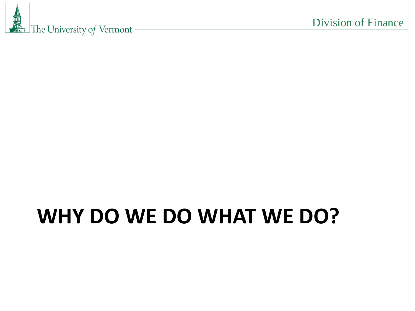

## **WHY DO WE DO WHAT WE DO?**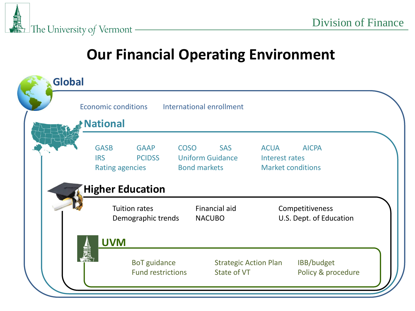

### **Our Financial Operating Environment**

| <b>Global</b> | <b>Economic conditions</b><br><b>National</b> |                                                                                                  |  | International enrollment                                     |                                                                           |                                  |  |
|---------------|-----------------------------------------------|--------------------------------------------------------------------------------------------------|--|--------------------------------------------------------------|---------------------------------------------------------------------------|----------------------------------|--|
|               | <b>GASB</b><br><b>IRS</b>                     | <b>GAAP</b><br><b>COSO</b><br><b>PCIDSS</b><br><b>Rating agencies</b><br><b>Higher Education</b> |  | <b>SAS</b><br><b>Uniform Guidance</b><br><b>Bond markets</b> | <b>AICPA</b><br><b>ACUA</b><br>Interest rates<br><b>Market conditions</b> |                                  |  |
|               |                                               | <b>Tuition rates</b><br>Demographic trends                                                       |  | Financial aid<br><b>NACUBO</b>                               | Competitiveness<br>U.S. Dept. of Education                                |                                  |  |
|               | <b>UVM</b><br>μm                              | <b>BoT</b> guidance<br><b>Fund restrictions</b>                                                  |  | <b>Strategic Action Plan</b><br>State of VT                  |                                                                           | IBB/budget<br>Policy & procedure |  |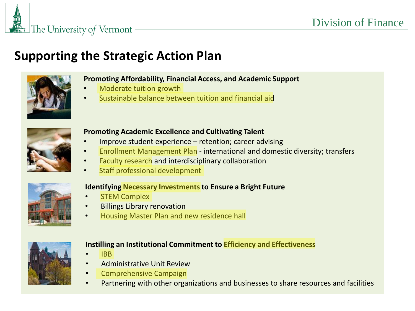### **Supporting the Strategic Action Plan**



#### **Promoting Affordability, Financial Access, and Academic Support**

- Moderate tuition growth
- Sustainable balance between tuition and financial aid



#### **Promoting Academic Excellence and Cultivating Talent**

- Improve student experience retention; career advising
- Enrollment Management Plan international and domestic diversity; transfers
- Faculty research and interdisciplinary collaboration
- Staff professional development



#### **Identifying Necessary Investments to Ensure a Bright Future**

- **STEM Complex**
- Billings Library renovation
- Housing Master Plan and new residence hall



#### **Instilling an Institutional Commitment to Efficiency and Effectiveness**

- IBB
- Administrative Unit Review
- Comprehensive Campaign
- Partnering with other organizations and businesses to share resources and facilities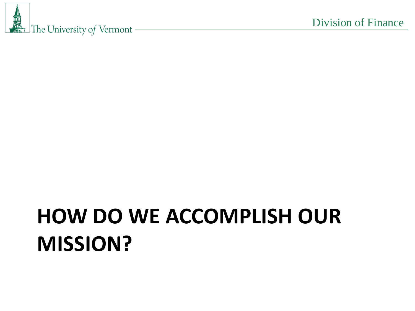# **HOW DO WE ACCOMPLISH OUR MISSION?**

圙 The University of Vermont -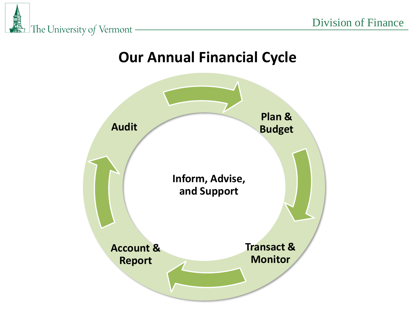

風橋 The University of Vermont -

### **Our Annual Financial Cycle**

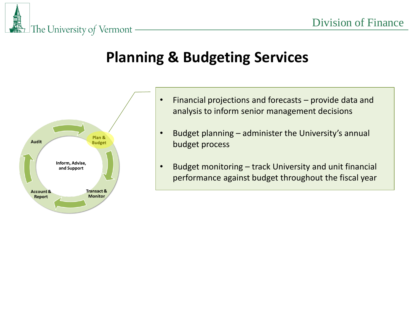#### <u>um</u> The University of Vermont

### **Planning & Budgeting Services**



- Financial projections and forecasts provide data and analysis to inform senior management decisions
- Budget planning administer the University's annual budget process
- Budget monitoring track University and unit financial performance against budget throughout the fiscal year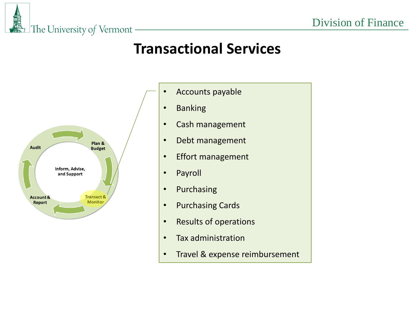### **Transactional Services**



The University of Vermont

m

- Accounts payable
- Banking
- Cash management
- Debt management
- Effort management
- Payroll
- Purchasing
- Purchasing Cards
- Results of operations
- Tax administration
- Travel & expense reimbursement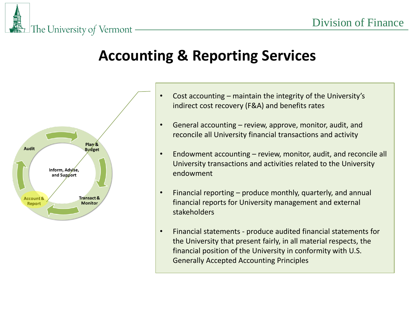## **Accounting & Reporting Services**



The University of Vermont

шñ

- Cost accounting maintain the integrity of the University's indirect cost recovery (F&A) and benefits rates
- General accounting review, approve, monitor, audit, and reconcile all University financial transactions and activity
- Endowment accounting review, monitor, audit, and reconcile all University transactions and activities related to the University endowment
- Financial reporting produce monthly, quarterly, and annual financial reports for University management and external stakeholders
- Financial statements produce audited financial statements for the University that present fairly, in all material respects, the financial position of the University in conformity with U.S. Generally Accepted Accounting Principles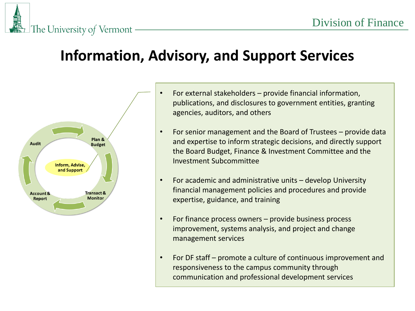### The University of Vermont

### **Information, Advisory, and Support Services**



- For external stakeholders provide financial information, publications, and disclosures to government entities, granting agencies, auditors, and others
- For senior management and the Board of Trustees provide data and expertise to inform strategic decisions, and directly support the Board Budget, Finance & Investment Committee and the Investment Subcommittee
- For academic and administrative units develop University financial management policies and procedures and provide expertise, guidance, and training
- For finance process owners provide business process improvement, systems analysis, and project and change management services
- For DF staff promote a culture of continuous improvement and responsiveness to the campus community through communication and professional development services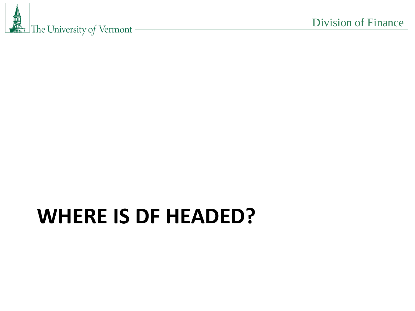

## **WHERE IS DF HEADED?**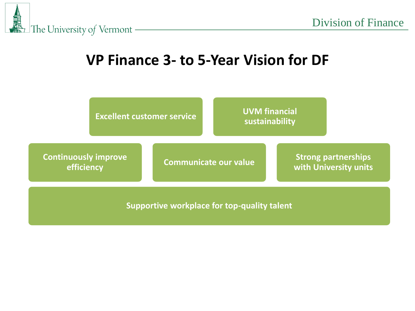

### **VP Finance 3- to 5-Year Vision for DF**